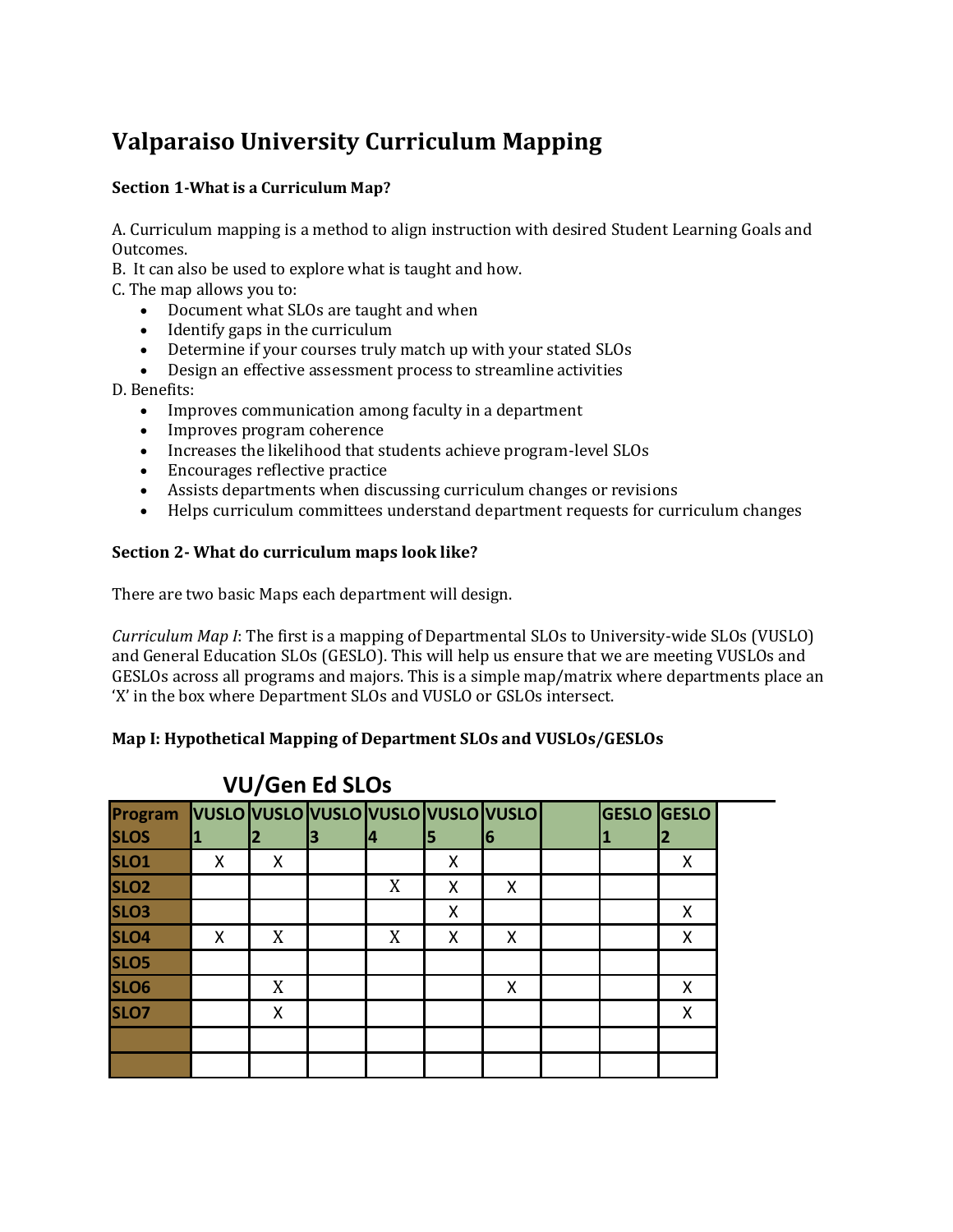# **Valparaiso University Curriculum Mapping**

## **Section 1-What is a Curriculum Map?**

A. Curriculum mapping is a method to align instruction with desired Student Learning Goals and Outcomes.

B. It can also be used to explore what is taught and how.

C. The map allows you to:

- Document what SLOs are taught and when
- Identify gaps in the curriculum
- Determine if your courses truly match up with your stated SLOs
- Design an effective assessment process to streamline activities

D. Benefits:

- Improves communication among faculty in a department
- Improves program coherence
- Increases the likelihood that students achieve program-level SLOs
- Encourages reflective practice
- Assists departments when discussing curriculum changes or revisions
- Helps curriculum committees understand department requests for curriculum changes

#### **Section 2- What do curriculum maps look like?**

There are two basic Maps each department will design.

*Curriculum Map I*: The first is a mapping of Departmental SLOs to University-wide SLOs (VUSLO) and General Education SLOs (GESLO). This will help us ensure that we are meeting VUSLOs and GESLOs across all programs and majors. This is a simple map/matrix where departments place an 'X' in the box where Department SLOs and VUSLO or GSLOs intersect.

#### **Map I: Hypothetical Mapping of Department SLOs and VUSLOs/GESLOs**

| , , , , , , , , , , , , , |   |   |    |   |   |                                             |  |                    |  |
|---------------------------|---|---|----|---|---|---------------------------------------------|--|--------------------|--|
|                           |   |   |    |   |   |                                             |  |                    |  |
|                           |   | з | 14 |   | 6 |                                             |  |                    |  |
| Χ                         | X |   |    | X |   |                                             |  | Χ                  |  |
|                           |   |   | X  | X | X |                                             |  |                    |  |
|                           |   |   |    | X |   |                                             |  | Χ                  |  |
| X                         | X |   | X  | X | X |                                             |  | X                  |  |
|                           |   |   |    |   |   |                                             |  |                    |  |
|                           | X |   |    |   | X |                                             |  | Χ                  |  |
|                           | X |   |    |   |   |                                             |  | Χ                  |  |
|                           |   |   |    |   |   |                                             |  |                    |  |
|                           |   |   |    |   |   |                                             |  |                    |  |
|                           |   |   |    |   |   | Program VUSLO VUSLO VUSLO VUSLO VUSLO VUSLO |  | <b>GESLO GESLO</b> |  |

# **VU/Gen Ed SLOs**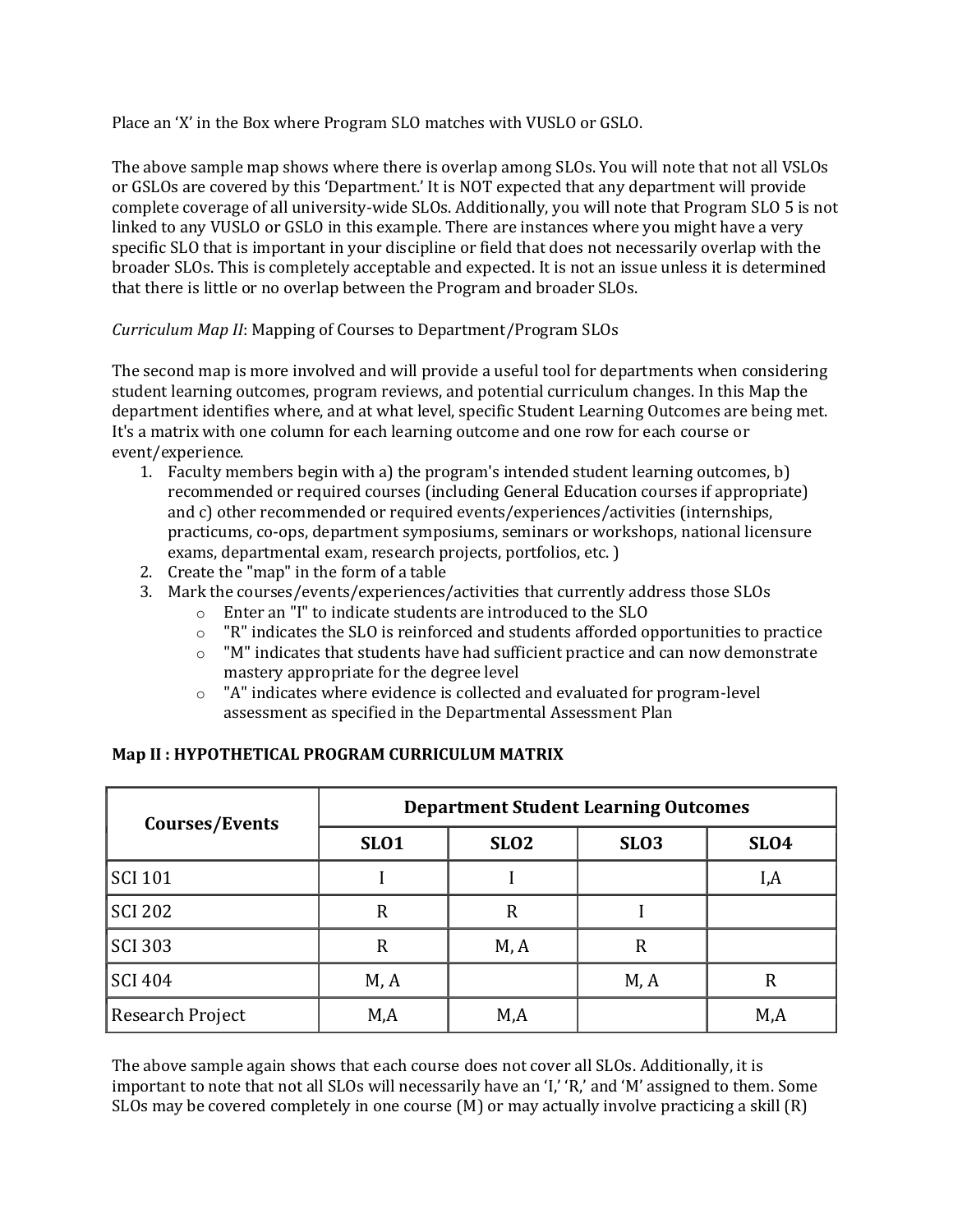Place an 'X' in the Box where Program SLO matches with VUSLO or GSLO.

The above sample map shows where there is overlap among SLOs. You will note that not all VSLOs or GSLOs are covered by this 'Department.' It is NOT expected that any department will provide complete coverage of all university-wide SLOs. Additionally, you will note that Program SLO 5 is not linked to any VUSLO or GSLO in this example. There are instances where you might have a very specific SLO that is important in your discipline or field that does not necessarily overlap with the broader SLOs. This is completely acceptable and expected. It is not an issue unless it is determined that there is little or no overlap between the Program and broader SLOs.

### *Curriculum Map II*: Mapping of Courses to Department/Program SLOs

The second map is more involved and will provide a useful tool for departments when considering student learning outcomes, program reviews, and potential curriculum changes. In this Map the department identifies where, and at what level, specific Student Learning Outcomes are being met. It's a matrix with one column for each learning outcome and one row for each course or event/experience.

- 1. Faculty members begin with a) the program's intended student learning outcomes, b) recommended or required courses (including General Education courses if appropriate) and c) other recommended or required events/experiences/activities (internships, practicums, co-ops, department symposiums, seminars or workshops, national licensure exams, departmental exam, research projects, portfolios, etc. )
- 2. Create the "map" in the form of a table
- 3. Mark the courses/events/experiences/activities that currently address those SLOs
	- o Enter an "I" to indicate students are introduced to the SLO
	- $\circ$  "R" indicates the SLO is reinforced and students afforded opportunities to practice
	- $\circ$  "M" indicates that students have had sufficient practice and can now demonstrate mastery appropriate for the degree level
	- o "A" indicates where evidence is collected and evaluated for program-level assessment as specified in the Departmental Assessment Plan

| Courses/Events   | <b>Department Student Learning Outcomes</b> |                  |             |             |  |  |  |  |
|------------------|---------------------------------------------|------------------|-------------|-------------|--|--|--|--|
|                  | <b>SLO1</b>                                 | SLO <sub>2</sub> | <b>SLO3</b> | <b>SLO4</b> |  |  |  |  |
| <b>SCI 101</b>   |                                             |                  |             | I,A         |  |  |  |  |
| <b>SCI 202</b>   | R                                           | R                |             |             |  |  |  |  |
| <b>SCI 303</b>   | R                                           | M, A             | $\mathbb R$ |             |  |  |  |  |
| <b>SCI 404</b>   | M, A                                        |                  | M, A        | R           |  |  |  |  |
| Research Project | M,A                                         | M,A              |             | M,A         |  |  |  |  |

#### **Map II : HYPOTHETICAL PROGRAM CURRICULUM MATRIX**

The above sample again shows that each course does not cover all SLOs. Additionally, it is important to note that not all SLOs will necessarily have an 'I,' 'R,' and 'M' assigned to them. Some SLOs may be covered completely in one course (M) or may actually involve practicing a skill (R)